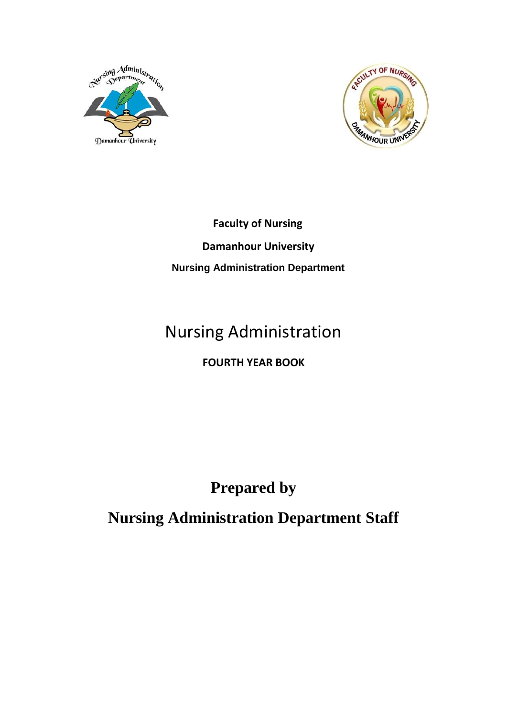



 **Faculty of Nursing Damanhour University Nursing Administration Department**

### Nursing Administration

#### **FOURTH YEAR BOOK**

#### **Prepared by**

**Nursing Administration Department Staff**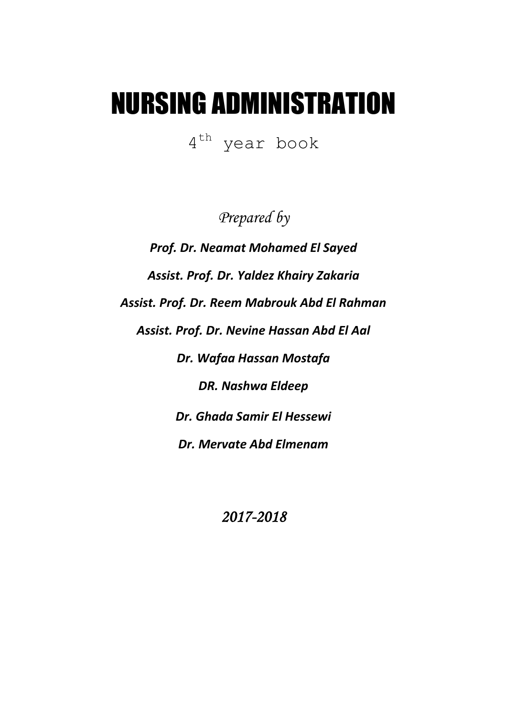# NURSING ADMINISTRATION

4 th year book

*Prepared by*

*Prof. Dr. Neamat Mohamed El Sayed Assist. Prof. Dr. Yaldez Khairy Zakaria Assist. Prof. Dr. Reem Mabrouk Abd El Rahman Assist. Prof. Dr. Nevine Hassan Abd El Aal Dr. Wafaa Hassan Mostafa DR. Nashwa Eldeep Dr. Ghada Samir El Hessewi Dr. Mervate Abd Elmenam*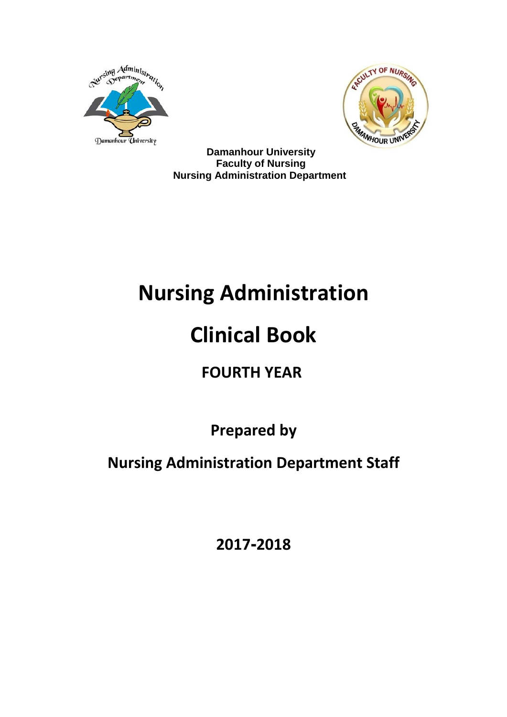



 **Damanhour University Faculty of Nursing Nursing Administration Department**

## **Nursing Administration**

## **Clinical Book**

## **FOURTH YEAR**

**Prepared by**

**Nursing Administration Department Staff**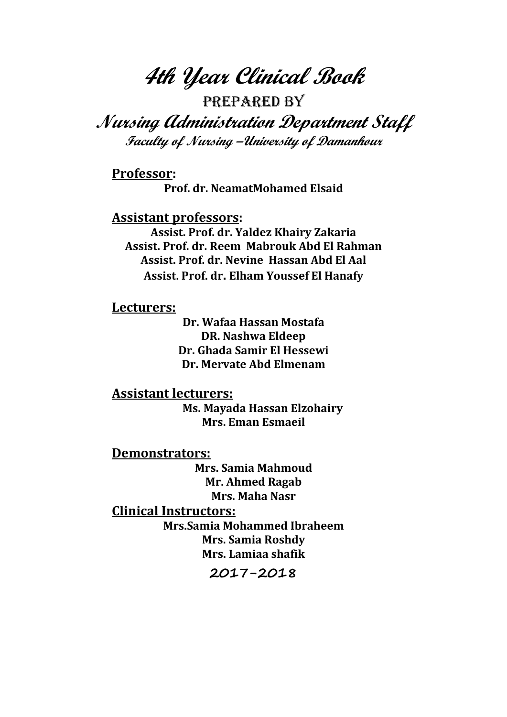**4th Year Clinical Book**

Prepared by

**Nursing Administration Department Staff Faculty of Nursing –University of Damanhour**

**Professor: Prof. dr. NeamatMohamed Elsaid**

**Assistant professors:**

**Assist. Prof. dr. Yaldez Khairy Zakaria Assist. Prof. dr. Reem Mabrouk Abd El Rahman Assist. Prof. dr. Nevine Hassan Abd El Aal Assist. Prof. dr. Elham Youssef El Hanafy**

**Lecturers:**

**Dr. Wafaa Hassan Mostafa DR. Nashwa Eldeep Dr. Ghada Samir El Hessewi Dr. Mervate Abd Elmenam**

**Assistant lecturers: Ms. Mayada Hassan Elzohairy Mrs. Eman Esmaeil**

**Demonstrators:**

**Mrs. Samia Mahmoud Mr. Ahmed Ragab Mrs. Maha Nasr**

**Clinical Instructors:**

**Mrs.Samia Mohammed Ibraheem Mrs. Samia Roshdy Mrs. Lamiaa shafik**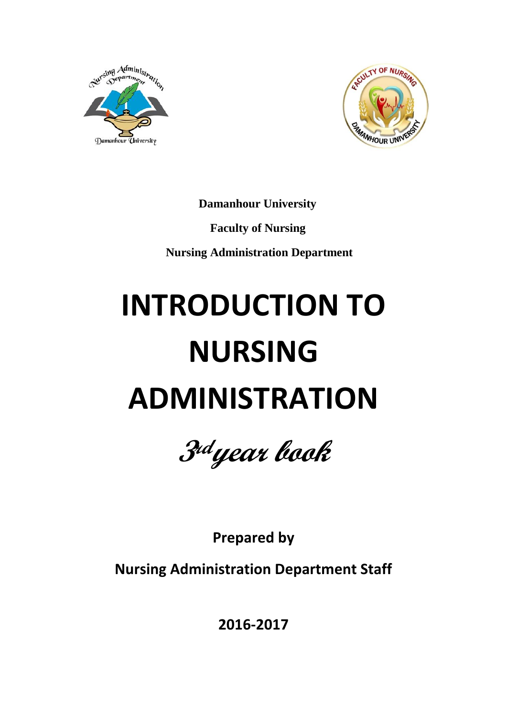



 **Damanhour University Faculty of Nursing Nursing Administration Department**

# **INTRODUCTION TO NURSING ADMINISTRATION**



**Prepared by**

**Nursing Administration Department Staff**